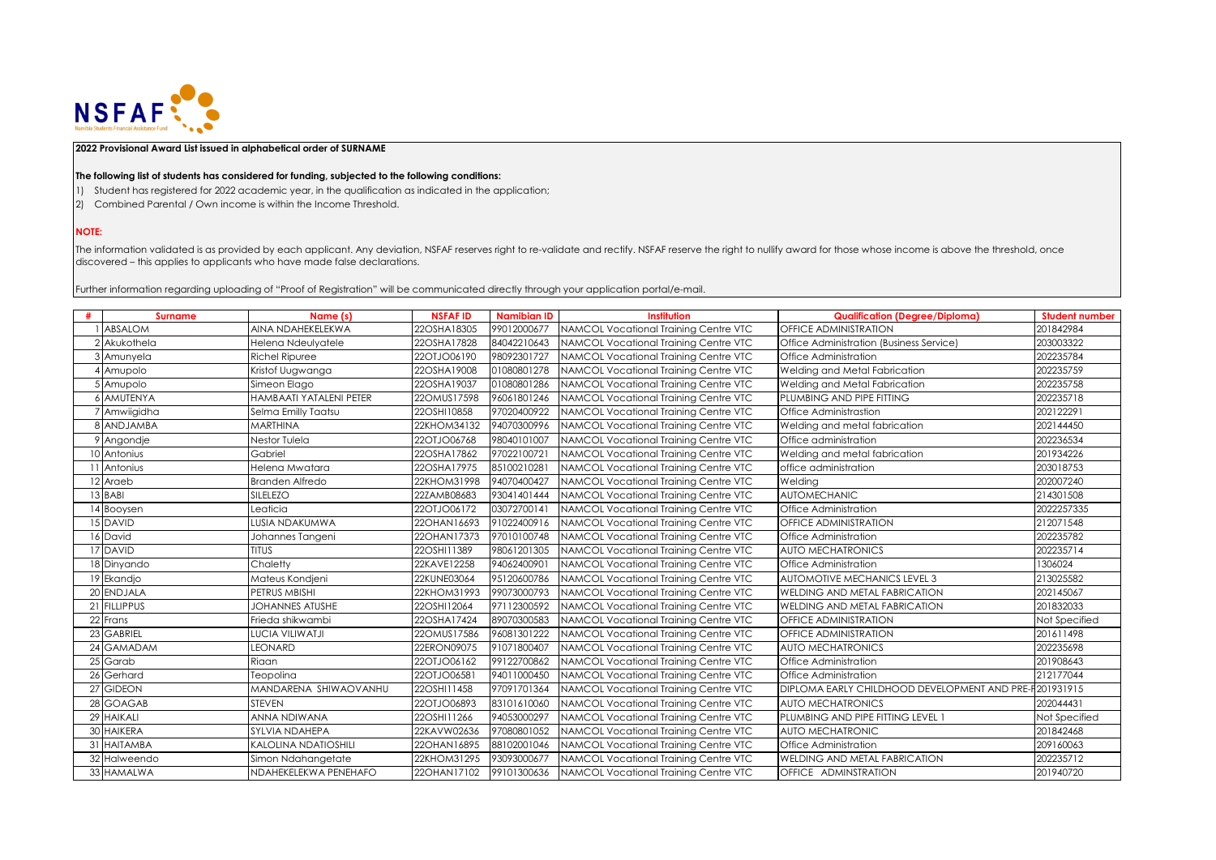

## **2022 Provisional Award List issued in alphabetical order of SURNAME**

## **The following list of students has considered for funding, subjected to the following conditions:**

- 1) Student has registered for 2022 academic year, in the qualification as indicated in the application;
- 2) Combined Parental / Own income is within the Income Threshold.

## **NOTE:**

The information validated is as provided by each applicant. Any deviation, NSFAF reserves right to re-validate and rectify. NSFAF reserve the right to nullify award for those whose income is above the threshold, once discovered – this applies to applicants who have made false declarations.

Further information regarding uploading of "Proof of Registration" will be communicated directly through your application portal/e-mail.

| # | <b>Surname</b>    | Name (s)                | <b>NSFAFID</b> | <b>Namibian ID</b> | <b>Institution</b>                    | <b>Qualification (Degree/Diploma)</b>                  | <b>Student number</b> |
|---|-------------------|-------------------------|----------------|--------------------|---------------------------------------|--------------------------------------------------------|-----------------------|
|   | <b>ABSALOM</b>    | AINA NDAHEKELEKWA       | 22OSHA18305    | 99012000677        | NAMCOL Vocational Training Centre VTC | OFFICE ADMINISTRATION                                  | 201842984             |
|   | 2 Akukothela      | Helena Ndeulyatele      | 22OSHA17828    | 84042210643        | NAMCOL Vocational Training Centre VTC | Office Administration (Business Service)               | 203003322             |
|   | 3 Amunyela        | <b>Richel Ripuree</b>   | 22OTJO06190    | 98092301727        | NAMCOL Vocational Training Centre VTC | Office Administration                                  | 202235784             |
|   | 4 Amupolo         | Kristof Uugwanga        | 22OSHA19008    | 01080801278        | NAMCOL Vocational Training Centre VTC | Welding and Metal Fabrication                          | 202235759             |
|   | 5 Amupolo         | Simeon Elago            | 22OSHA19037    | 01080801286        | NAMCOL Vocational Training Centre VTC | Welding and Metal Fabrication                          | 202235758             |
|   | <b>6 AMUTENYA</b> | HAMBAATI YATALENI PETER | 22OMUS17598    | 96061801246        | NAMCOL Vocational Training Centre VTC | PLUMBING AND PIPE FITTING                              | 202235718             |
|   | 7 Amwiigidha      | Selma Emilly Taatsu     | 22OSHI10858    | 97020400922        | NAMCOL Vocational Training Centre VTC | Office Administrastion                                 | 202122291             |
|   | 8 ANDJAMBA        | <b>MARTHINA</b>         | 22KHOM34132    | 94070300996        | NAMCOL Vocational Training Centre VTC | Welding and metal fabrication                          | 202144450             |
|   | 9 Angondje        | Nestor Tulela           | 22OTJO06768    | 98040101007        | NAMCOL Vocational Training Centre VTC | Office administration                                  | 202236534             |
|   | 10 Antonius       | Gabriel                 | 22OSHA17862    | 97022100721        | NAMCOL Vocational Training Centre VTC | Welding and metal fabrication                          | 201934226             |
|   | 1 Antonius        | Helena Mwatara          | 22OSHA17975    | 85100210281        | NAMCOL Vocational Training Centre VTC | office administration                                  | 203018753             |
|   | 12 Araeb          | <b>Branden Alfredo</b>  | 22KHOM31998    | 94070400427        | NAMCOL Vocational Training Centre VTC | Welding                                                | 202007240             |
|   | 13 BABI           | <b>SILELEZO</b>         | 22ZAMB08683    | 93041401444        | NAMCOL Vocational Training Centre VTC | <b>AUTOMECHANIC</b>                                    | 214301508             |
|   | 14 Booysen        | Leaticia                | 22OTJO06172    | 03072700141        | NAMCOL Vocational Training Centre VTC | Office Administration                                  | 2022257335            |
|   | 15 DAVID          | LUSIA NDAKUMWA          | 22OHAN16693    | 91022400916        | NAMCOL Vocational Training Centre VTC | <b>OFFICE ADMINISTRATION</b>                           | 212071548             |
|   | 16 David          | Johannes Tangeni        | 22OHAN17373    | 97010100748        | NAMCOL Vocational Training Centre VTC | Office Administration                                  | 202235782             |
|   | 17 DAVID          | <b>TITUS</b>            | 22OSHI11389    | 98061201305        | NAMCOL Vocational Training Centre VTC | <b>AUTO MECHATRONICS</b>                               | 202235714             |
|   | 18 Dinyando       | Chaletty                | 22KAVE12258    | 94062400901        | NAMCOL Vocational Training Centre VTC | Office Administration                                  | 1306024               |
|   | 19 Ekandjo        | Mateus Kondjeni         | 22KUNE03064    | 95120600786        | NAMCOL Vocational Training Centre VTC | <b>AUTOMOTIVE MECHANICS LEVEL 3</b>                    | 213025582             |
|   | 20 ENDJALA        | PETRUS MBISHI           | 22KHOM31993    | 99073000793        | NAMCOL Vocational Training Centre VTC | WELDING AND METAL FABRICATION                          | 202145067             |
|   | 21 FILLIPPUS      | JOHANNES ATUSHE         | 22OSHI12064    | 97112300592        | NAMCOL Vocational Training Centre VTC | WELDING AND METAL FABRICATION                          | 201832033             |
|   | 22 Frans          | Frieda shikwambi        | 22OSHA17424    | 89070300583        | NAMCOL Vocational Training Centre VTC | OFFICE ADMINISTRATION                                  | Not Specified         |
|   | 23 GABRIEL        | LUCIA VILIWATJI         | 22OMUS17586    | 96081301222        | NAMCOL Vocational Training Centre VTC | <b>OFFICE ADMINISTRATION</b>                           | 201611498             |
|   | 24 GAMADAM        | <b>EONARD</b>           | 22ERON09075    | 91071800407        | NAMCOL Vocational Training Centre VTC | <b>AUTO MECHATRONICS</b>                               | 202235698             |
|   | 25 Garab          | Riaan                   | 22OTJO06162    | 99122700862        | NAMCOL Vocational Training Centre VTC | Office Administration                                  | 201908643             |
|   | 26 Gerhard        | Teopolina               | 22OTJO06581    | 94011000450        | NAMCOL Vocational Training Centre VTC | Office Administration                                  | 212177044             |
|   | 27 GIDEON         | MANDARENA SHIWAOVANHU   | 22OSHI11458    | 97091701364        | NAMCOL Vocational Training Centre VTC | DIPLOMA EARLY CHILDHOOD DEVELOPMENT AND PRE-F201931915 |                       |
|   | 28 GOAGAB         | <b>STEVEN</b>           | 22OTJO06893    | 83101610060        | NAMCOL Vocational Training Centre VTC | <b>AUTO MECHATRONICS</b>                               | 202044431             |
|   | 29 HAIKALI        | ANNA NDIWANA            | 22OSHI11266    | 94053000297        | NAMCOL Vocational Training Centre VTC | PLUMBING AND PIPE FITTING LEVEL 1                      | Not Specified         |
|   | 30 HAIKERA        | SYLVIA NDAHEPA          | 22KAVW02636    | 97080801052        | NAMCOL Vocational Training Centre VTC | <b>AUTO MECHATRONIC</b>                                | 201842468             |
|   | 31 HAITAMBA       | KALOLINA NDATIOSHILI    | 22OHAN16895    | 88102001046        | NAMCOL Vocational Training Centre VTC | Office Administration                                  | 209160063             |
|   | 32 Halweendo      | Simon Ndahangetate      | 22KHOM31295    | 93093000677        | NAMCOL Vocational Training Centre VTC | <b>WELDING AND METAL FABRICATION</b>                   | 202235712             |
|   | 33 HAMALWA        | NDAHEKELEKWA PENEHAFO   | 22OHAN17102    | 99101300636        | NAMCOL Vocational Training Centre VTC | OFFICE ADMINSTRATION                                   | 201940720             |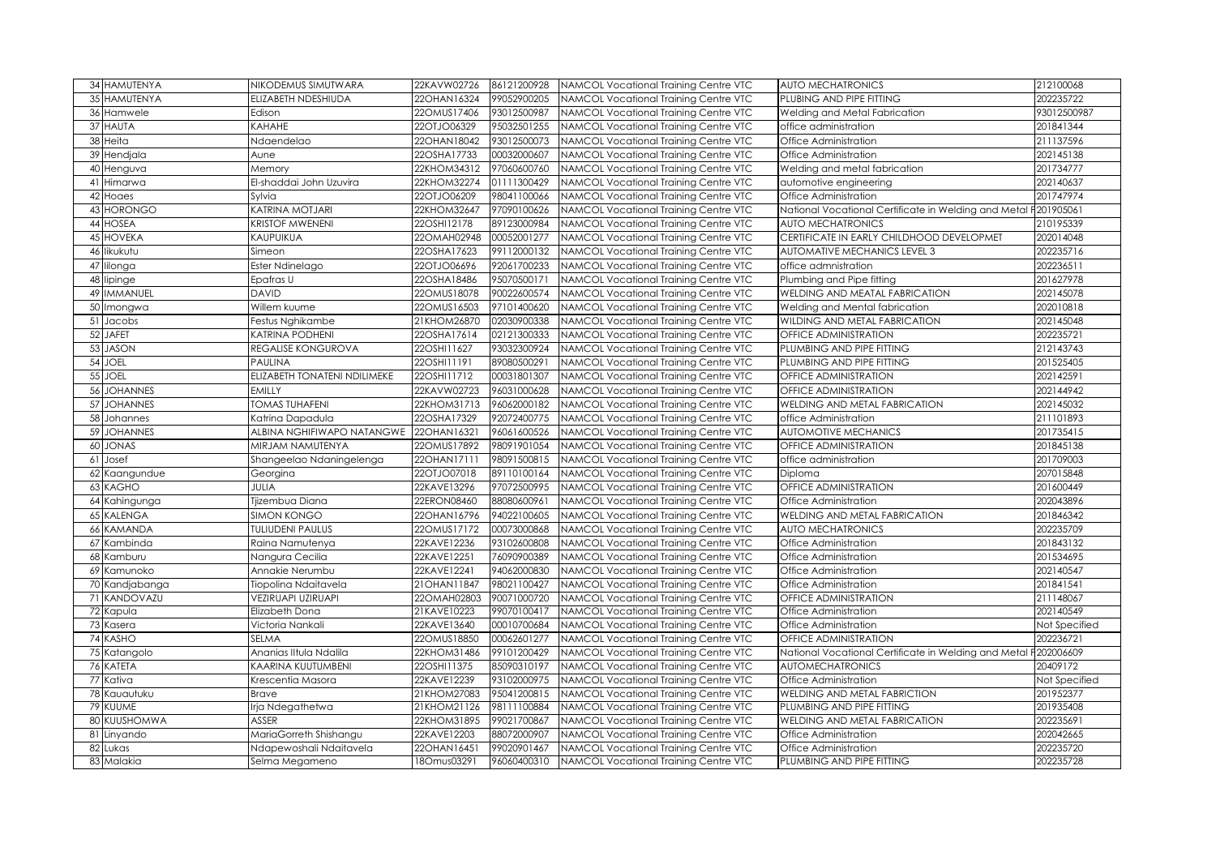| 34 HAMUTENYA          | NIKODEMUS SIMUTWARA          | 22KAVW02726 | 86121200928 | NAMCOL Vocational Training Centre VTC | <b>AUTO MECHATRONICS</b>                             | 212100068     |
|-----------------------|------------------------------|-------------|-------------|---------------------------------------|------------------------------------------------------|---------------|
| 35 HAMUTENYA          | ELIZABETH NDESHIUDA          | 22OHAN16324 | 99052900205 | NAMCOL Vocational Trainina Centre VTC | PLUBING AND PIPE FITTING                             | 202235722     |
| 36 Hamwele            | Edison                       | 22OMUS17406 | 93012500987 | NAMCOL Vocational Training Centre VTC | Welding and Metal Fabrication                        | 93012500987   |
| 37 HAUTA              | KAHAHE                       | 22OTJO06329 | 95032501255 | NAMCOL Vocational Training Centre VTC | office administration                                | 201841344     |
| 38 Heita              | Ndaendelao                   | 22OHAN18042 | 93012500073 | NAMCOL Vocational Training Centre VTC | Office Administration                                | 211137596     |
| 39 Hendjala           | Aune                         | 22OSHA17733 | 00032000607 | NAMCOL Vocational Training Centre VTC | Office Administration                                | 202145138     |
| 40 Henguva            | Memory                       | 22KHOM34312 | 97060600760 | NAMCOL Vocational Training Centre VTC | Welding and metal fabrication                        | 201734777     |
| 41<br>Himarwa         | El-shaddai John Uzuvira      | 22KHOM32274 | 01111300429 | NAMCOL Vocational Training Centre VTC | automotive engineering                               | 202140637     |
| 42 Hoaes              | Sylvia                       | 22OTJO06209 | 98041100066 | NAMCOL Vocational Training Centre VTC | Office Administration                                | 201747974     |
| 43 HORONGO            | KATRINA MOTJARI              | 22KHOM32647 | 97090100626 | NAMCOL Vocational Training Centre VTC | National Vocational Certificate in Welding and Metal | 201905061     |
| 44 HOSEA              | <b>KRISTOF MWENENI</b>       | 22OSHI12178 | 89123000984 | NAMCOL Vocational Training Centre VTC | <b>AUTO MECHATRONICS</b>                             | 210195339     |
| <b>45 HOVEKA</b>      | KAUPUIKUA                    | 22OMAH02948 | 00052001277 | NAMCOL Vocational Training Centre VTC | CERTIFICATE IN EARLY CHILDHOOD DEVELOPMET            | 202014048     |
| 46 likukutu           | Simeon                       | 22OSHA17623 | 99112000132 | NAMCOL Vocational Training Centre VTC | AUTOMATIVE MECHANICS LEVEL 3                         | 202235716     |
| 47<br>lilonga         | Ester Ndinelago              | 22OTJO06696 | 92061700233 | NAMCOL Vocational Training Centre VTC | office admnistration                                 | 20223651      |
| 48 lipinge            | Epafras U                    | 22OSHA18486 | 95070500171 | NAMCOL Vocational Training Centre VTC | Plumbing and Pipe fitting                            | 201627978     |
| 49 IMMANUEL           | <b>DAVID</b>                 | 22OMUS18078 | 90022600574 | NAMCOL Vocational Training Centre VTC | WELDING AND MEATAL FABRICATION                       | 202145078     |
| 50 Imongwa            | Willem kuume                 | 22OMUS16503 | 97101400620 | NAMCOL Vocational Training Centre VTC | Welding and Mental fabrication                       | 202010818     |
| 51<br>Jacobs          | Festus Nghikambe             | 21KHOM26870 | 02030900338 | NAMCOL Vocational Training Centre VTC | WILDING AND METAL FABRICATION                        | 202145048     |
| 52<br><b>JAFET</b>    | KATRINA PODHENI              | 22OSHA17614 | 02121300333 | NAMCOL Vocational Training Centre VTC | OFFICE ADMINISTRATION                                | 202235721     |
| 53<br><b>JASON</b>    | REGALISE KONGUROVA           | 22OSHI11627 | 93032300924 | NAMCOL Vocational Training Centre VTC | PLUMBING AND PIPE FITTING                            | 212143743     |
| <b>JOEL</b><br>54     | PAULINA                      | 22OSHI11191 | 89080500291 | NAMCOL Vocational Training Centre VTC | PLUMBING AND PIPE FITTING                            | 201525405     |
| 55<br>JOEL            | ELIZABETH TONATENI NDILIMEKE | 22OSHI11712 | 00031801307 | NAMCOL Vocational Training Centre VTC | OFFICE ADMINISTRATION                                | 202142591     |
| 56<br><b>JOHANNES</b> | <b>EMILLY</b>                | 22KAVW02723 | 96031000628 | NAMCOL Vocational Training Centre VTC | OFFICE ADMINISTRATION                                | 202144942     |
| 57<br><b>JOHANNES</b> | <b>TOMAS TUHAFENI</b>        | 22KHOM31713 | 96062000182 | NAMCOL Vocational Training Centre VTC | WELDING AND METAL FABRICATION                        | 202145032     |
| 58 Johannes           | Katrina Dapadula             | 22OSHA17329 | 92072400775 | NAMCOL Vocational Training Centre VTC | office Administration                                | 211101893     |
| 59<br><b>JOHANNES</b> | ALBINA NGHIFIWAPO NATANGWE   | 22OHAN16321 | 96061600526 | NAMCOL Vocational Training Centre VTC | <b>AUTOMOTIVE MECHANICS</b>                          | 201735415     |
| <b>JONAS</b><br>60    | MIRJAM NAMUTENYA             | 22OMUS17892 | 98091901054 | NAMCOL Vocational Training Centre VTC | OFFICE ADMINISTRATION                                | 201845138     |
| 61<br>Josef           | Shangeelao Ndaningelenga     | 22OHAN17111 | 98091500815 | NAMCOL Vocational Training Centre VTC | office administration                                | 201709003     |
| 62 Kaangundue         | Georgina                     | 22OTJO07018 | 89110100164 | NAMCOL Vocational Training Centre VTC | Diploma                                              | 207015848     |
| 63 KAGHO              | JULIA                        | 22KAVE13296 | 97072500995 | NAMCOL Vocational Training Centre VTC | OFFICE ADMINISTRATION                                | 201600449     |
| 64 Kahingunga         | Tjizembua Diana              | 22ERON08460 | 88080600961 | NAMCOL Vocational Training Centre VTC | Office Administration                                | 202043896     |
| 65 KALENGA            | <b>SIMON KONGO</b>           | 22OHAN16796 | 94022100605 | NAMCOL Vocational Training Centre VTC | WELDING AND METAL FABRICATION                        | 201846342     |
| 66 KAMANDA            | <b>TULIUDENI PAULUS</b>      | 22OMUS17172 | 00073000868 | NAMCOL Vocational Training Centre VTC | <b>AUTO MECHATRONICS</b>                             | 202235709     |
| 67<br>Kambinda        | Raina Namutenya              | 22KAVE12236 | 93102600808 | NAMCOL Vocational Training Centre VTC | Office Administration                                | 201843132     |
| 68 Kamburu            | Nangura Cecilia              | 22KAVE12251 | 76090900389 | NAMCOL Vocational Training Centre VTC | Office Administration                                | 201534695     |
| 69 Kamunoko           | Annakie Nerumbu              | 22KAVE12241 | 94062000830 | NAMCOL Vocational Training Centre VTC | Office Administration                                | 202140547     |
| 70 Kandjabanga        | Tiopolina Ndaitavela         | 21OHAN11847 | 98021100427 | NAMCOL Vocational Training Centre VTC | Office Administration                                | 201841541     |
| 71 KANDOVAZU          | VEZIRUAPI UZIRUAPI           | 22OMAH02803 | 90071000720 | NAMCOL Vocational Training Centre VTC | <b>OFFICE ADMINISTRATION</b>                         | 211148067     |
| 72 Kapula             | Elizabeth Dona               | 21KAVE10223 | 99070100417 | NAMCOL Vocational Training Centre VTC | Office Administration                                | 202140549     |
| 73 Kasera             | Victoria Nankali             | 22KAVE13640 | 00010700684 | NAMCOL Vocational Training Centre VTC | Office Administration                                | Not Specified |
| 74 KASHO              | <b>SELMA</b>                 | 22OMUS18850 | 00062601277 | NAMCOL Vocational Training Centre VTC | OFFICE ADMINISTRATION                                | 202236721     |
| 75 Katangolo          | Ananias IItula Ndalila       | 22KHOM31486 | 99101200429 | NAMCOL Vocational Training Centre VTC | National Vocational Certificate in Welding and Metal | F202006609    |
| 76 KATETA             | KAARINA KUUTUMBENI           | 22OSHI11375 | 85090310197 | NAMCOL Vocational Training Centre VTC | <b>AUTOMECHATRONICS</b>                              | 20409172      |
| 77 Kativa             | Krescentia Masora            | 22KAVE12239 | 93102000975 | NAMCOL Vocational Training Centre VTC | Office Administration                                | Not Specified |
| 78 Kauautuku          | Brave                        | 21KHOM27083 | 95041200815 | NAMCOL Vocational Training Centre VTC | WELDING AND METAL FABRICTION                         | 201952377     |
| 79 KUUME              | Irja Ndegathetwa             | 21KHOM21126 | 98111100884 | NAMCOL Vocational Training Centre VTC | PLUMBING AND PIPE FITTING                            | 201935408     |
| 80 KUUSHOMWA          | ASSER                        | 22KHOM31895 | 99021700867 | NAMCOL Vocational Training Centre VTC | WELDING AND METAL FABRICATION                        | 202235691     |
| 81<br>Linyando        | MariaGorreth Shishangu       | 22KAVE12203 | 88072000907 | NAMCOL Vocational Training Centre VTC | Office Administration                                | 202042665     |
| 82 Lukas              | Ndapewoshali Ndaitavela      | 22OHAN16451 | 99020901467 | NAMCOL Vocational Training Centre VTC | Office Administration                                | 202235720     |
| 83 Malakia            | Selma Megameno               | 180mus03291 | 96060400310 | NAMCOL Vocational Training Centre VTC | PLUMBING AND PIPE FITTING                            | 202235728     |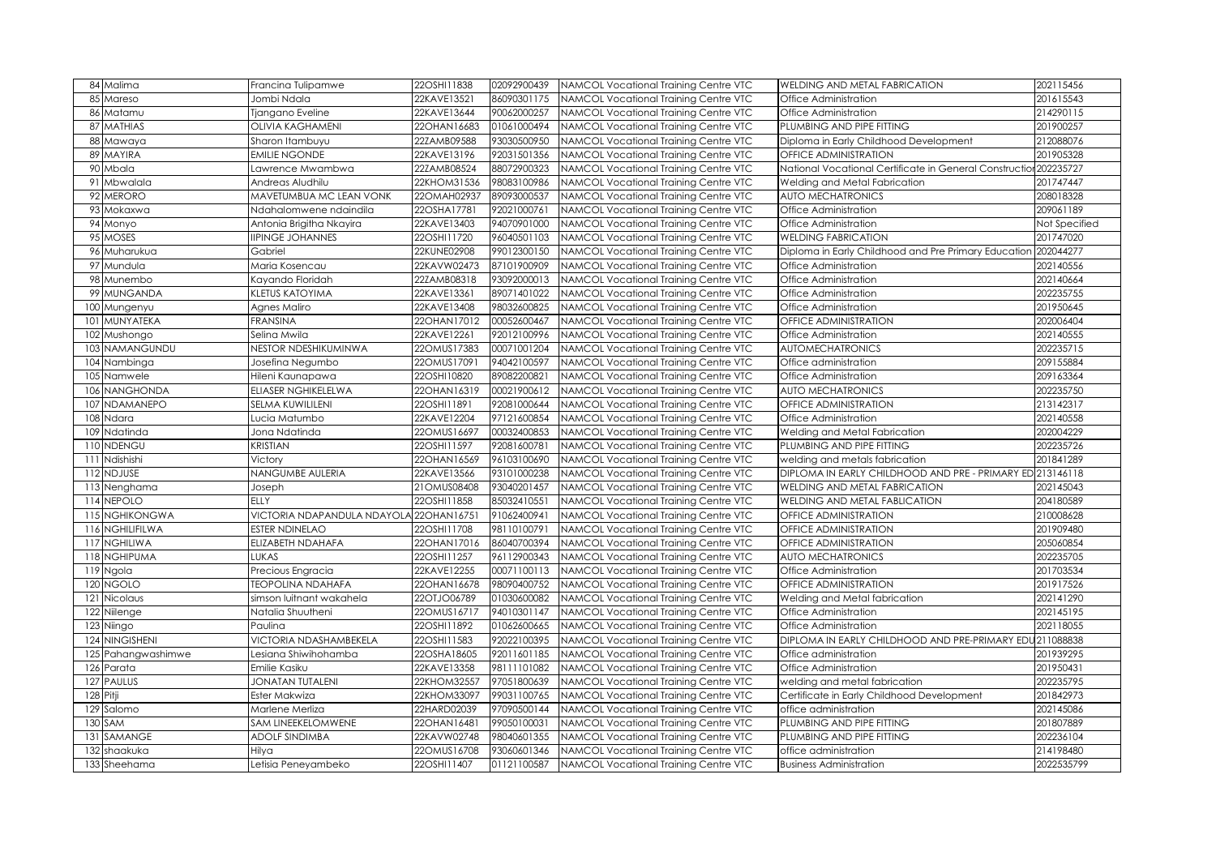| 84 Malima           | Francina Tulipamwe                      | 22OSHI11838 | 02092900439 | NAMCOL Vocational Training Centre VTC | WELDING AND METAL FABRICATION                                     | 202115456     |
|---------------------|-----------------------------------------|-------------|-------------|---------------------------------------|-------------------------------------------------------------------|---------------|
| 85 Mareso           | Jombi Ndala                             | 22KAVE13521 | 86090301175 | NAMCOL Vocational Training Centre VTC | Office Administration                                             | 201615543     |
| 86 Matamu           | Tjangano Eveline                        | 22KAVE13644 | 90062000257 | NAMCOL Vocational Training Centre VTC | Office Administration                                             | 214290115     |
| 87 MATHIAS          | <b>OLIVIA KAGHAMENI</b>                 | 22OHAN16683 | 01061000494 | NAMCOL Vocational Training Centre VTC | PLUMBING AND PIPE FITTING                                         | 201900257     |
| 88 Mawaya           | Sharon Itambuyu                         | 22ZAMB09588 | 93030500950 | NAMCOL Vocational Training Centre VTC | Diploma in Early Childhood Development                            | 212088076     |
| 89 MAYIRA           | <b>EMILIE NGONDE</b>                    | 22KAVE13196 | 92031501356 | NAMCOL Vocational Training Centre VTC | <b>OFFICE ADMINISTRATION</b>                                      | 201905328     |
| 90 Mbala            | awrence Mwambwa                         | 22ZAMB08524 | 88072900323 | NAMCOL Vocational Training Centre VTC | National Vocational Certificate in General Construction 202235727 |               |
| 91 Mbwalala         | Andreas Aludhilu                        | 22KHOM31536 | 98083100986 | NAMCOL Vocational Training Centre VTC | Welding and Metal Fabrication                                     | 201747447     |
| 92<br><b>MERORO</b> | MAVETUMBUA MC LEAN VONK                 | 22OMAH02937 | 89093000537 | NAMCOL Vocational Training Centre VTC | <b>AUTO MECHATRONICS</b>                                          | 208018328     |
| 93 Mokaxwa          | <b>Ndahalomwene ndaindila</b>           | 22OSHA17781 | 92021000761 | NAMCOL Vocational Training Centre VTC | Office Administration                                             | 209061189     |
| 94 Monyo            | Antonia Brigitha Nkayira                | 22KAVE13403 | 94070901000 | NAMCOL Vocational Training Centre VTC | Office Administration                                             | Not Specified |
| 95 MOSES            | <b>IPINGE JOHANNES</b>                  | 22OSHI11720 | 96040501103 | NAMCOL Vocational Training Centre VTC | <b>WELDING FABRICATION</b>                                        | 201747020     |
| 96 Muharukua        | Gabriel                                 | 22KUNE02908 | 99012300150 | NAMCOL Vocational Training Centre VTC | Diploma in Early Childhood and Pre Primary Education 202044277    |               |
| 97 Mundula          | Maria Kosencau                          | 22KAVW02473 | 87101900909 | NAMCOL Vocational Training Centre VTC | Office Administration                                             | 202140556     |
| 98 Munembo          | Kayando Floridah                        | 22ZAMB08318 | 93092000013 | NAMCOL Vocational Training Centre VTC | Office Administration                                             | 202140664     |
| 99 MUNGANDA         | KLETUS KATOYIMA                         | 22KAVE13361 | 89071401022 | NAMCOL Vocational Training Centre VTC | Office Administration                                             | 202235755     |
| 100 Mungenyu        | Agnes Maliro                            | 22KAVE13408 | 98032600825 | NAMCOL Vocational Training Centre VTC | Office Administration                                             | 201950645     |
| 101 MUNYATEKA       | <b>FRANSINA</b>                         | 22OHAN17012 | 00052600467 | NAMCOL Vocational Training Centre VTC | <b>OFFICE ADMINISTRATION</b>                                      | 202006404     |
| 102 Mushongo        | Selina Mwila                            | 22KAVE12261 | 92012100996 | NAMCOL Vocational Training Centre VTC | Office Administration                                             | 202140555     |
| 103 NAMANGUNDU      | <b>VESTOR NDESHIKUMINWA</b>             | 22OMUS17383 | 00071001204 | NAMCOL Vocational Training Centre VTC | <b>AUTOMECHATRONICS</b>                                           | 202235715     |
| 104 Nambinga        | Josefina Negumbo                        | 22OMUS17091 | 94042100597 | NAMCOL Vocational Training Centre VTC | Office administration                                             | 209155884     |
| 105 Namwele         | Hileni Kaunapawa                        | 22OSHI10820 | 89082200821 | NAMCOL Vocational Training Centre VTC | Office Administration                                             | 209163364     |
| 106 NANGHONDA       | ELIASER NGHIKELELWA                     | 22OHAN16319 | 00021900612 | NAMCOL Vocational Training Centre VTC | <b>AUTO MECHATRONICS</b>                                          | 202235750     |
| 107 NDAMANEPO       | SELMA KUWILILENI                        | 22OSHI11891 | 92081000644 | NAMCOL Vocational Training Centre VTC | <b>OFFICE ADMINISTRATION</b>                                      | 213142317     |
| 108 Ndara           | Lucia Matumbo                           | 22KAVE12204 | 97121600854 | NAMCOL Vocational Training Centre VTC | Office Administration                                             | 202140558     |
| 109 Ndatinda        | Jona Ndatinda                           | 22OMUS16697 | 00032400853 | NAMCOL Vocational Training Centre VTC | Welding and Metal Fabrication                                     | 202004229     |
| 110 NDENGU          | KRISTIAN                                | 22OSHI11597 | 92081600781 | NAMCOL Vocational Training Centre VTC | PLUMBING AND PIPE FITTING                                         | 202235726     |
| 111 Ndishishi       | Victory                                 | 22OHAN16569 | 96103100690 | NAMCOL Vocational Training Centre VTC | welding and metals fabrication                                    | 201841289     |
| 112 NDJUSE          | NANGUMBE AULERIA                        | 22KAVE13566 | 93101000238 | NAMCOL Vocational Training Centre VTC | DIPLOMA IN EARLY CHILDHOOD AND PRE - PRIMARY ED 213146118         |               |
| 113 Nenghama        | Joseph                                  | 21OMUS08408 | 93040201457 | NAMCOL Vocational Training Centre VTC | WELDING AND METAL FABRICATION                                     | 202145043     |
| 114 NEPOLO          | FLLY                                    | 22OSHI11858 | 85032410551 | NAMCOL Vocational Training Centre VTC | WELDING AND METAL FABLICATION                                     | 204180589     |
| 115 NGHIKONGWA      | VICTORIA NDAPANDULA NDAYOLA 22OHAN16751 |             | 91062400941 | NAMCOL Vocational Training Centre VTC | OFFICE ADMINISTRATION                                             | 210008628     |
| 116 NGHILIFILWA     | ESTER NDINELAO                          | 22OSHI11708 | 98110100791 | NAMCOL Vocational Training Centre VTC | <b>OFFICE ADMINISTRATION</b>                                      | 201909480     |
| 117 NGHILIWA        | ELIZABETH NDAHAFA                       | 22OHAN17016 | 86040700394 | NAMCOL Vocational Training Centre VTC | <b>OFFICE ADMINISTRATION</b>                                      | 205060854     |
| 118 NGHIPUMA        | LUKAS                                   | 22OSHI11257 | 96112900343 | NAMCOL Vocational Training Centre VTC | <b>AUTO MECHATRONICS</b>                                          | 202235705     |
|                     |                                         |             |             |                                       |                                                                   |               |
| 119 Ngola           | Precious Engracia                       | 22KAVE12255 | 00071100113 | NAMCOL Vocational Training Centre VTC | Office Administration                                             | 201703534     |
| 120 NGOLO           | <b>TEOPOLINA NDAHAFA</b>                | 22OHAN16678 | 98090400752 | NAMCOL Vocational Training Centre VTC | OFFICE ADMINISTRATION                                             | 201917526     |
| 121 Nicolaus        | simson luitnant wakahela                | 22OTJO06789 | 01030600082 | NAMCOL Vocational Training Centre VTC | Welding and Metal fabrication                                     | 202141290     |
| 122 Niilenge        | Natalia Shuutheni                       | 22OMUS16717 | 94010301147 | NAMCOL Vocational Training Centre VTC | Office Administration                                             | 202145195     |
| 123 Niingo          | Paulina                                 | 22OSHI11892 | 01062600665 | NAMCOL Vocational Training Centre VTC | Office Administration                                             | 202118055     |
| 124 NINGISHENI      | VICTORIA NDASHAMBEKELA                  | 22OSHI11583 | 92022100395 | NAMCOL Vocational Training Centre VTC | DIPLOMA IN EARLY CHILDHOOD AND PRE-PRIMARY EDU 211088838          |               |
| 125 Pahangwashimwe  | esiana Shiwihohamba                     | 22OSHA18605 | 92011601185 | NAMCOL Vocational Training Centre VTC | Office administration                                             | 201939295     |
| 126 Parata          | Emilie Kasiku                           | 22KAVE13358 | 98111101082 | NAMCOL Vocational Training Centre VTC | Office Administration                                             | 201950431     |
| 127 PAULUS          | JONATAN TUTALENI                        | 22KHOM32557 | 97051800639 | NAMCOL Vocational Training Centre VTC | welding and metal fabrication                                     | 202235795     |
| 128 Pitji           | Ester Makwiza                           | 22KHOM33097 | 99031100765 | NAMCOL Vocational Training Centre VTC | Certificate in Early Childhood Development                        | 201842973     |
| 129 Salomo          | Marlene Merliza                         | 22HARD02039 | 97090500144 | NAMCOL Vocational Training Centre VTC | office administration                                             | 202145086     |
| 130 SAM             | SAM LINEEKELOMWENE                      | 22OHAN16481 | 99050100031 | NAMCOL Vocational Training Centre VTC | PLUMBING AND PIPE FITTING                                         | 201807889     |
| 131 SAMANGE         | ADOLF SINDIMBA                          | 22KAVW02748 | 98040601355 | NAMCOL Vocational Training Centre VTC | PLUMBING AND PIPE FITTING                                         | 202236104     |
| 132 shaakuka        | Hilya                                   | 22OMUS16708 | 93060601346 | NAMCOL Vocational Training Centre VTC | office administration                                             | 214198480     |
| 133 Sheehama        | Letisia Peneyambeko                     | 22OSHI11407 | 01121100587 | NAMCOL Vocational Training Centre VTC | <b>Business Administration</b>                                    | 2022535799    |